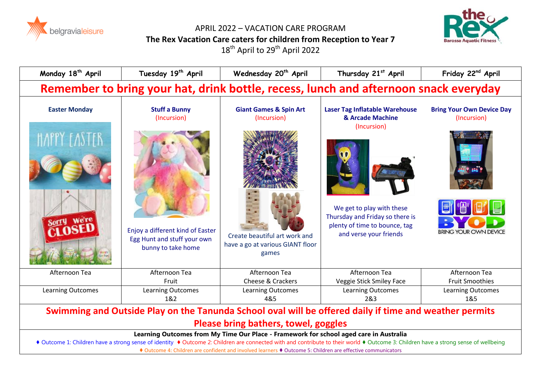

APRIL 2022 – VACATION CARE PROGRAM **The Rex Vacation Care caters for children from Reception to Year 7**  $18^{th}$  April to  $29^{th}$  April 2022



| Monday 18 <sup>th</sup> April                                                                                                                                                                                                                                                 | Tuesday 19th April                                                                    | Wednesday 20 <sup>th</sup> April                                           | Thursday 21st April                                                                                                     | Friday 22 <sup>nd</sup> April                   |
|-------------------------------------------------------------------------------------------------------------------------------------------------------------------------------------------------------------------------------------------------------------------------------|---------------------------------------------------------------------------------------|----------------------------------------------------------------------------|-------------------------------------------------------------------------------------------------------------------------|-------------------------------------------------|
| Remember to bring your hat, drink bottle, recess, lunch and afternoon snack everyday                                                                                                                                                                                          |                                                                                       |                                                                            |                                                                                                                         |                                                 |
| <b>Easter Monday</b>                                                                                                                                                                                                                                                          | <b>Stuff a Bunny</b><br>(Incursion)                                                   | <b>Giant Games &amp; Spin Art</b><br>(Incursion)                           | <b>Laser Tag Inflatable Warehouse</b><br>& Arcade Machine<br>(Incursion)                                                | <b>Bring Your Own Device Day</b><br>(Incursion) |
| HAPPY FASTER                                                                                                                                                                                                                                                                  | Enjoy a different kind of Easter<br>Egg Hunt and stuff your own<br>bunny to take home | Create beautiful art work and<br>have a go at various GIANT floor<br>games | We get to play with these<br>Thursday and Friday so there is<br>plenty of time to bounce, tag<br>and verse your friends | <b>BRING YOUR OWN DEVICE</b>                    |
| Afternoon Tea                                                                                                                                                                                                                                                                 | Afternoon Tea<br>Fruit                                                                | Afternoon Tea<br>Cheese & Crackers                                         | Afternoon Tea<br>Veggie Stick Smiley Face                                                                               | Afternoon Tea<br><b>Fruit Smoothies</b>         |
| <b>Learning Outcomes</b>                                                                                                                                                                                                                                                      | <b>Learning Outcomes</b><br>1&2                                                       | Learning Outcomes<br>4&5                                                   | <b>Learning Outcomes</b><br>2&3                                                                                         | Learning Outcomes<br>1&5                        |
| Swimming and Outside Play on the Tanunda School oval will be offered daily if time and weather permits                                                                                                                                                                        |                                                                                       |                                                                            |                                                                                                                         |                                                 |
| Please bring bathers, towel, goggles                                                                                                                                                                                                                                          |                                                                                       |                                                                            |                                                                                                                         |                                                 |
| Learning Outcomes from My Time Our Place - Framework for school aged care in Australia<br>◆ Outcome 1: Children have a strong sense of identity ◆ Outcome 2: Children are connected with and contribute to their world ◆ Outcome 3: Children have a strong sense of wellbeing |                                                                                       |                                                                            |                                                                                                                         |                                                 |

♦ Outcome 4: Children are confident and involved learners ♦ Outcome 5: Children are effective communicators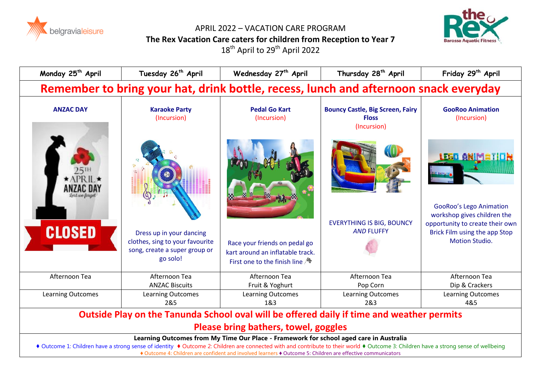

APRIL 2022 – VACATION CARE PROGRAM **The Rex Vacation Care caters for children from Reception to Year 7** 18<sup>th</sup> April to 29<sup>th</sup> April 2022



| Monday 25 <sup>th</sup> April                                                          | Tuesday 26 <sup>th</sup> April                                                                           | Wednesday 27 <sup>th</sup> April                                                                                 | Thursday 28 <sup>th</sup> April                                        | Friday 29 <sup>th</sup> April                                                                                            |
|----------------------------------------------------------------------------------------|----------------------------------------------------------------------------------------------------------|------------------------------------------------------------------------------------------------------------------|------------------------------------------------------------------------|--------------------------------------------------------------------------------------------------------------------------|
|                                                                                        | Remember to bring your hat, drink bottle, recess, lunch and afternoon snack everyday                     |                                                                                                                  |                                                                        |                                                                                                                          |
| <b>ANZAC DAY</b>                                                                       | <b>Karaoke Party</b><br>(Incursion)                                                                      | <b>Pedal Go Kart</b><br>(Incursion)                                                                              | <b>Bouncy Castle, Big Screen, Fairy</b><br><b>Floss</b><br>(Incursion) | <b>GooRoo Animation</b><br>(Incursion)                                                                                   |
| $25^{\rm{m}}$<br>*APRIL*<br>ANZAC DAY                                                  |                                                                                                          |                                                                                                                  |                                                                        | <u>LEGO ANIMETICH</u><br><b>GooRoo's Lego Animation</b>                                                                  |
| <b>CLOSED</b>                                                                          | Dress up in your dancing<br>clothes, sing to your favourite<br>song, create a super group or<br>go solo! | Race your friends on pedal go<br>kart around an inflatable track.<br>First one to the finish line $\mathbb{A}^*$ | <b>EVERYTHING IS BIG, BOUNCY</b><br><b>AND FLUFFY</b>                  | workshop gives children the<br>opportunity to create their own<br>Brick Film using the app Stop<br><b>Motion Studio.</b> |
| Afternoon Tea                                                                          | Afternoon Tea<br><b>ANZAC Biscuits</b>                                                                   | Afternoon Tea<br>Fruit & Yoghurt                                                                                 | Afternoon Tea<br>Pop Corn                                              | Afternoon Tea<br>Dip & Crackers                                                                                          |
| <b>Learning Outcomes</b>                                                               | Learning Outcomes<br>2&5                                                                                 | <b>Learning Outcomes</b><br>1&3                                                                                  | <b>Learning Outcomes</b><br>2&3                                        | Learning Outcomes<br>4&5                                                                                                 |
|                                                                                        | Outside Play on the Tanunda School oval will be offered daily if time and weather permits                |                                                                                                                  |                                                                        |                                                                                                                          |
|                                                                                        | Please bring bathers, towel, goggles                                                                     |                                                                                                                  |                                                                        |                                                                                                                          |
| Learning Outcomes from My Time Our Place - Framework for school aged care in Australia |                                                                                                          |                                                                                                                  |                                                                        |                                                                                                                          |

♦ Outcome 1: Children have a strong sense of identity ♦ Outcome 2: Children are connected with and contribute to their world ♦ Outcome 3: Children have a strong sense of wellbeing ♦ Outcome 4: Children are confident and involved learners ♦ Outcome 5: Children are effective communicators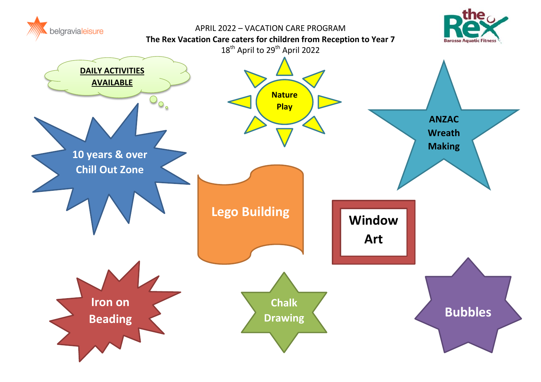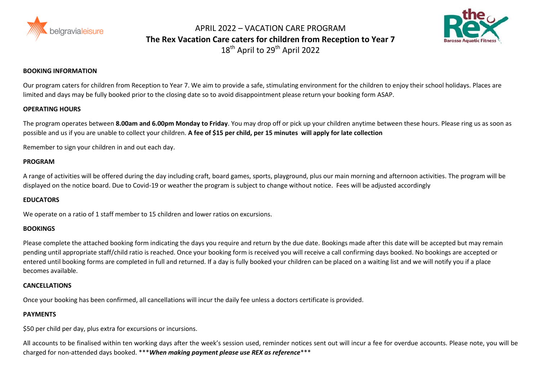

APRIL 2022 – VACATION CARE PROGRAM **The Rex Vacation Care caters for children from Reception to Year 7** 18<sup>th</sup> April to 29<sup>th</sup> April 2022



# **BOOKING INFORMATION**

Our program caters for children from Reception to Year 7. We aim to provide a safe, stimulating environment for the children to enjoy their school holidays. Places are limited and days may be fully booked prior to the closing date so to avoid disappointment please return your booking form ASAP.

# **OPERATING HOURS**

The program operates between **8.00am and 6.00pm Monday to Friday**. You may drop off or pick up your children anytime between these hours. Please ring us as soon as possible and us if you are unable to collect your children. **A fee of \$15 per child, per 15 minutes will apply for late collection**

Remember to sign your children in and out each day.

# **PROGRAM**

A range of activities will be offered during the day including craft, board games, sports, playground, plus our main morning and afternoon activities. The program will be displayed on the notice board. Due to Covid-19 or weather the program is subject to change without notice. Fees will be adjusted accordingly

#### **EDUCATORS**

We operate on a ratio of 1 staff member to 15 children and lower ratios on excursions.

# **BOOKINGS**

Please complete the attached booking form indicating the days you require and return by the due date. Bookings made after this date will be accepted but may remain pending until appropriate staff/child ratio is reached. Once your booking form is received you will receive a call confirming days booked. No bookings are accepted or entered until booking forms are completed in full and returned. If a day is fully booked your children can be placed on a waiting list and we will notify you if a place becomes available.

# **CANCELLATIONS**

Once your booking has been confirmed, all cancellations will incur the daily fee unless a doctors certificate is provided.

# **PAYMENTS**

\$50 per child per day, plus extra for excursions or incursions.

All accounts to be finalised within ten working days after the week's session used, reminder notices sent out will incur a fee for overdue accounts. Please note, you will be charged for non-attended days booked. \*\*\**When making payment please use REX as reference*\*\*\*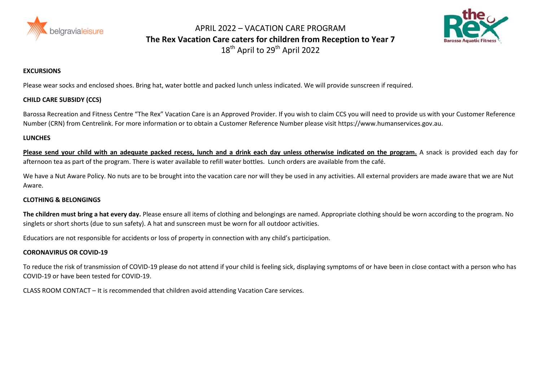

APRIL 2022 – VACATION CARE PROGRAM **The Rex Vacation Care caters for children from Reception to Year 7** 18<sup>th</sup> April to 29<sup>th</sup> April 2022



# **EXCURSIONS**

Please wear socks and enclosed shoes. Bring hat, water bottle and packed lunch unless indicated. We will provide sunscreen if required.

# **CHILD CARE SUBSIDY (CCS)**

Barossa Recreation and Fitness Centre "The Rex" Vacation Care is an Approved Provider. If you wish to claim CCS you will need to provide us with your Customer Reference Number (CRN) from Centrelink. For more information or to obtain a Customer Reference Number please visit https://www.humanservices.gov.au.

#### **LUNCHES**

**Please send your child with an adequate packed recess, lunch and a drink each day unless otherwise indicated on the program.** A snack is provided each day for afternoon tea as part of the program. There is water available to refill water bottles. Lunch orders are available from the café.

We have a Nut Aware Policy. No nuts are to be brought into the vacation care nor will they be used in any activities. All external providers are made aware that we are Nut Aware.

# **CLOTHING & BELONGINGS**

**The children must bring a hat every day.** Please ensure all items of clothing and belongings are named. Appropriate clothing should be worn according to the program. No singlets or short shorts (due to sun safety). A hat and sunscreen must be worn for all outdoor activities.

Educatiors are not responsible for accidents or loss of property in connection with any child's participation.

# **CORONAVIRUS OR COVID-19**

To reduce the risk of transmission of COVID-19 please do not attend if your child is feeling sick, displaying symptoms of or have been in close contact with a person who has COVID-19 or have been tested for COVID-19.

CLASS ROOM CONTACT – It is recommended that children avoid attending Vacation Care services.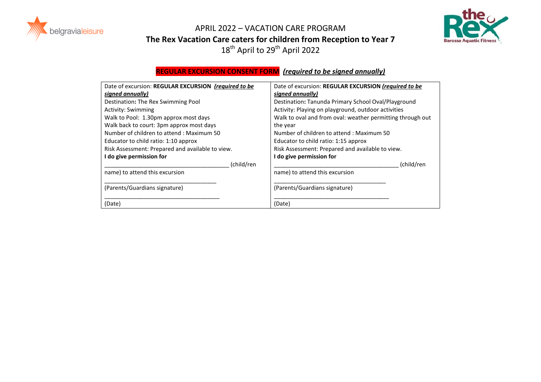



APRIL 2022 – VACATION CARE PROGRAM **The Rex Vacation Care caters for children from Reception to Year 7**  $18^{th}$  April to  $29^{th}$  April 2022

|                                                      | <b>REGULAR EXCURSION CONSENT FORM</b> (required to be signed annually) |  |
|------------------------------------------------------|------------------------------------------------------------------------|--|
| Date of excursion: REGULAR EXCURSION (required to be | Date of excursion: REGULAR EXCURSION (required to be                   |  |
| signed annually)                                     | signed annually)                                                       |  |
| Destination: The Rex Swimming Pool                   | Destination: Tanunda Primary School Oval/Playground                    |  |
| <b>Activity: Swimming</b>                            | Activity: Playing on playground, outdoor activities                    |  |
| Walk to Pool: 1.30pm approx most days                | Walk to oval and from oval: weather permitting through out             |  |
| Walk back to court: 3pm approx most days             | the year                                                               |  |
| Number of children to attend: Maximum 50             | Number of children to attend: Maximum 50                               |  |
| Educator to child ratio: 1:10 approx                 | Educator to child ratio: 1:15 approx                                   |  |
| Risk Assessment: Prepared and available to view.     | Risk Assessment: Prepared and available to view.                       |  |
| I do give permission for                             | I do give permission for                                               |  |
| (child/ren                                           | (child/ren                                                             |  |
| name) to attend this excursion                       | name) to attend this excursion                                         |  |
| (Parents/Guardians signature)                        | (Parents/Guardians signature)                                          |  |
| (Date)                                               | (Date)                                                                 |  |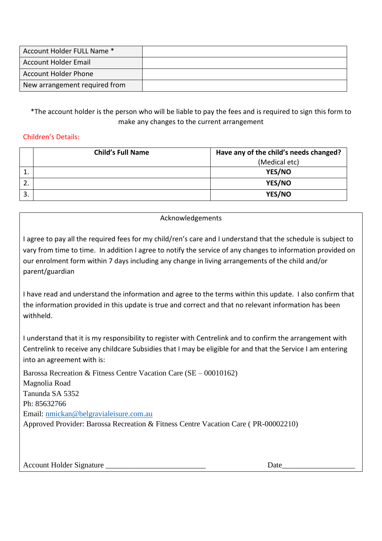| Account Holder FULL Name *    |  |
|-------------------------------|--|
| Account Holder Email          |  |
| <b>Account Holder Phone</b>   |  |
| New arrangement required from |  |

\*The account holder is the person who will be liable to pay the fees and is required to sign this form to make any changes to the current arrangement

# Children's Details:

|    | <b>Child's Full Name</b><br>Have any of the child's needs changed? |               |
|----|--------------------------------------------------------------------|---------------|
|    |                                                                    | (Medical etc) |
|    |                                                                    | YES/NO        |
|    |                                                                    | YES/NO        |
| 3. |                                                                    | YES/NO        |

# Acknowledgements

I agree to pay all the required fees for my child/ren's care and I understand that the schedule is subject to vary from time to time. In addition I agree to notify the service of any changes to information provided on our enrolment form within 7 days including any change in living arrangements of the child and/or parent/guardian

I have read and understand the information and agree to the terms within this update. I also confirm that the information provided in this update is true and correct and that no relevant information has been withheld.

I understand that it is my responsibility to register with Centrelink and to confirm the arrangement with Centrelink to receive any childcare Subsidies that I may be eligible for and that the Service I am entering into an agreement with is:

Barossa Recreation & Fitness Centre Vacation Care (SE – 00010162) Magnolia Road Tanunda SA 5352 Ph: 85632766 Email: [nmickan@belgravialeisure.com.au](mailto:nmickan@belgravialeisure.com.au) Approved Provider: Barossa Recreation & Fitness Centre Vacation Care ( PR-00002210)

Account Holder Signature \_\_\_\_\_\_\_\_\_\_\_\_\_\_\_\_\_\_\_\_\_\_\_\_\_\_ Date\_\_\_\_\_\_\_\_\_\_\_\_\_\_\_\_\_\_\_